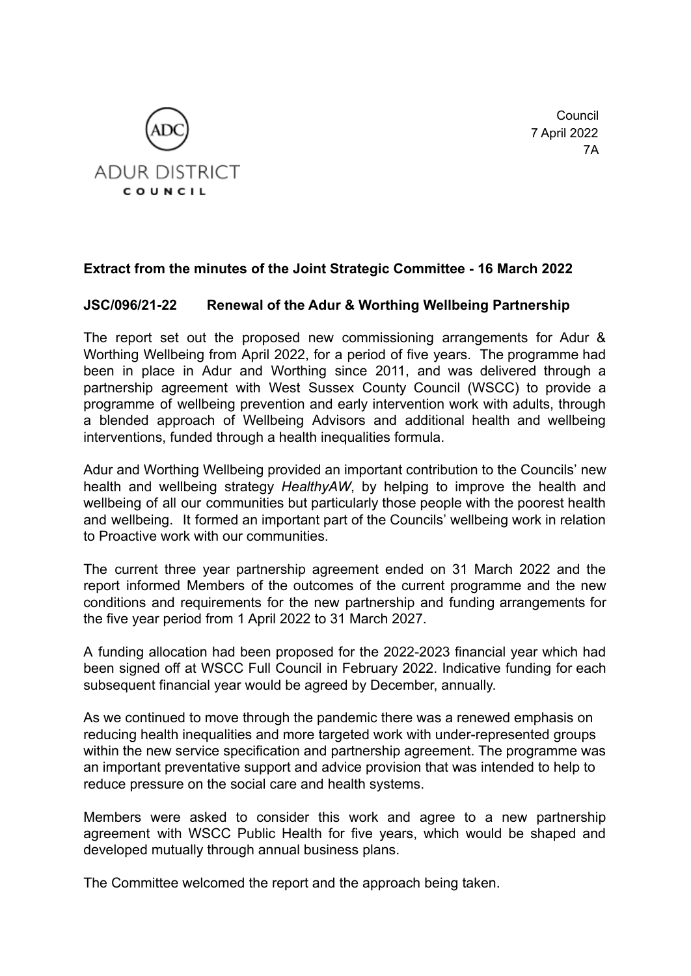



## **Extract from the minutes of the Joint Strategic Committee - 16 March 2022**

## **JSC/096/21-22 Renewal of the Adur & Worthing Wellbeing Partnership**

The report set out the proposed new commissioning arrangements for Adur & Worthing Wellbeing from April 2022, for a period of five years. The programme had been in place in Adur and Worthing since 2011, and was delivered through a partnership agreement with West Sussex County Council (WSCC) to provide a programme of wellbeing prevention and early intervention work with adults, through a blended approach of Wellbeing Advisors and additional health and wellbeing interventions, funded through a health inequalities formula.

Adur and Worthing Wellbeing provided an important contribution to the Councils' new health and wellbeing strategy *HealthyAW*, by helping to improve the health and wellbeing of all our communities but particularly those people with the poorest health and wellbeing. It formed an important part of the Councils' wellbeing work in relation to Proactive work with our communities.

The current three year partnership agreement ended on 31 March 2022 and the report informed Members of the outcomes of the current programme and the new conditions and requirements for the new partnership and funding arrangements for the five year period from 1 April 2022 to 31 March 2027.

A funding allocation had been proposed for the 2022-2023 financial year which had been signed off at WSCC Full Council in February 2022. Indicative funding for each subsequent financial year would be agreed by December, annually.

As we continued to move through the pandemic there was a renewed emphasis on reducing health inequalities and more targeted work with under-represented groups within the new service specification and partnership agreement. The programme was an important preventative support and advice provision that was intended to help to reduce pressure on the social care and health systems.

Members were asked to consider this work and agree to a new partnership agreement with WSCC Public Health for five years, which would be shaped and developed mutually through annual business plans.

The Committee welcomed the report and the approach being taken.